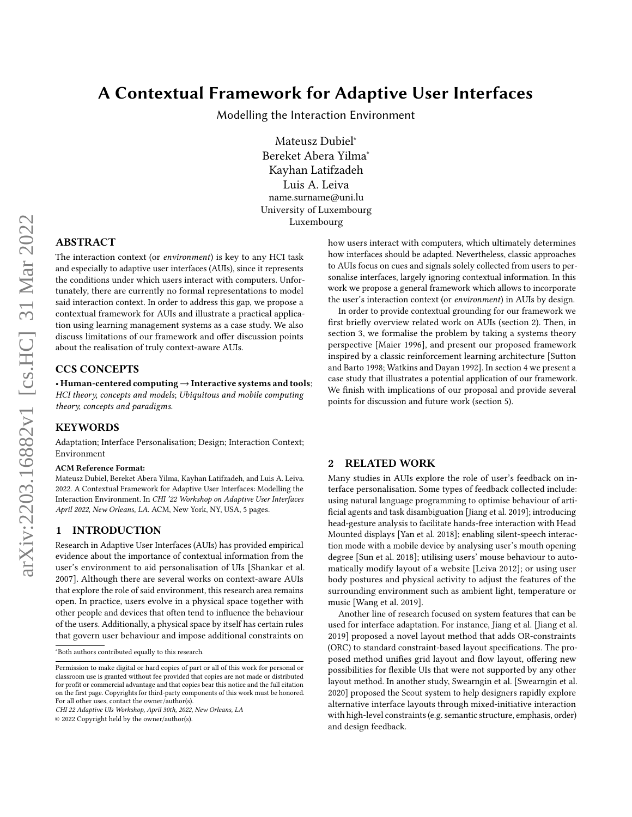# A Contextual Framework for Adaptive User Interfaces

Modelling the Interaction Environment

Mateusz Dubiel<sup>∗</sup> Bereket Abera Yilma<sup>∗</sup> Kayhan Latifzadeh Luis A. Leiva name.surname@uni.lu University of Luxembourg Luxembourg

## ABSTRACT

The interaction context (or environment) is key to any HCI task and especially to adaptive user interfaces (AUIs), since it represents the conditions under which users interact with computers. Unfortunately, there are currently no formal representations to model said interaction context. In order to address this gap, we propose a contextual framework for AUIs and illustrate a practical application using learning management systems as a case study. We also discuss limitations of our framework and offer discussion points about the realisation of truly context-aware AUIs.

#### CCS CONCEPTS

• Human-centered computing  $\rightarrow$  Interactive systems and tools; HCI theory, concepts and models; Ubiquitous and mobile computing theory, concepts and paradigms.

#### **KEYWORDS**

Adaptation; Interface Personalisation; Design; Interaction Context; Environment

#### ACM Reference Format:

Mateusz Dubiel, Bereket Abera Yilma, Kayhan Latifzadeh, and Luis A. Leiva. 2022. A Contextual Framework for Adaptive User Interfaces: Modelling the Interaction Environment. In CHI '22 Workshop on Adaptive User Interfaces April 2022, New Orleans, LA. ACM, New York, NY, USA, [5](#page-4-0) pages.

### 1 INTRODUCTION

Research in Adaptive User Interfaces (AUIs) has provided empirical evidence about the importance of contextual information from the user's environment to aid personalisation of UIs [\[Shankar et al.](#page-4-1) [2007\]](#page-4-1). Although there are several works on context-aware AUIs that explore the role of said environment, this research area remains open. In practice, users evolve in a physical space together with other people and devices that often tend to influence the behaviour of the users. Additionally, a physical space by itself has certain rules that govern user behaviour and impose additional constraints on

© 2022 Copyright held by the owner/author(s).

how users interact with computers, which ultimately determines how interfaces should be adapted. Nevertheless, classic approaches to AUIs focus on cues and signals solely collected from users to personalise interfaces, largely ignoring contextual information. In this work we propose a general framework which allows to incorporate the user's interaction context (or environment) in AUIs by design.

In order to provide contextual grounding for our framework we first briefly overview related work on AUIs [\(section 2\)](#page-0-0). Then, in [section 3,](#page-1-0) we formalise the problem by taking a systems theory perspective [\[Maier 1996\]](#page-4-2), and present our proposed framework inspired by a classic reinforcement learning architecture [\[Sutton](#page-4-3) [and Barto 1998;](#page-4-3) [Watkins and Dayan 1992\]](#page-4-4). In [section 4](#page-2-0) we present a case study that illustrates a potential application of our framework. We finish with implications of our proposal and provide several points for discussion and future work [\(section 5\)](#page-3-0).

#### <span id="page-0-0"></span>2 RELATED WORK

Many studies in AUIs explore the role of user's feedback on interface personalisation. Some types of feedback collected include: using natural language programming to optimise behaviour of artificial agents and task disambiguation [\[Jiang et al.](#page-4-5) [2019\]](#page-4-5); introducing head-gesture analysis to facilitate hands-free interaction with Head Mounted displays [\[Yan et al.](#page-4-6) [2018\]](#page-4-6); enabling silent-speech interaction mode with a mobile device by analysing user's mouth opening degree [\[Sun et al.](#page-4-7) [2018\]](#page-4-7); utilising users' mouse behaviour to automatically modify layout of a website [\[Leiva 2012\]](#page-4-8); or using user body postures and physical activity to adjust the features of the surrounding environment such as ambient light, temperature or music [\[Wang et al. 2019\]](#page-4-9).

Another line of research focused on system features that can be used for interface adaptation. For instance, Jiang et al. [\[Jiang et al.](#page-4-5) [2019\]](#page-4-5) proposed a novel layout method that adds OR-constraints (ORC) to standard constraint-based layout specifications. The proposed method unifies grid layout and flow layout, offering new possibilities for flexible UIs that were not supported by any other layout method. In another study, Swearngin et al. [\[Swearngin et al.](#page-4-10) [2020\]](#page-4-10) proposed the Scout system to help designers rapidly explore alternative interface layouts through mixed-initiative interaction with high-level constraints (e.g. semantic structure, emphasis, order) and design feedback.

<sup>∗</sup>Both authors contributed equally to this research.

Permission to make digital or hard copies of part or all of this work for personal or classroom use is granted without fee provided that copies are not made or distributed for profit or commercial advantage and that copies bear this notice and the full citation on the first page. Copyrights for third-party components of this work must be honored. For all other uses, contact the owner/author(s).

CHI 22 Adaptive UIs Workshop, April 30th, 2022, New Orleans, LA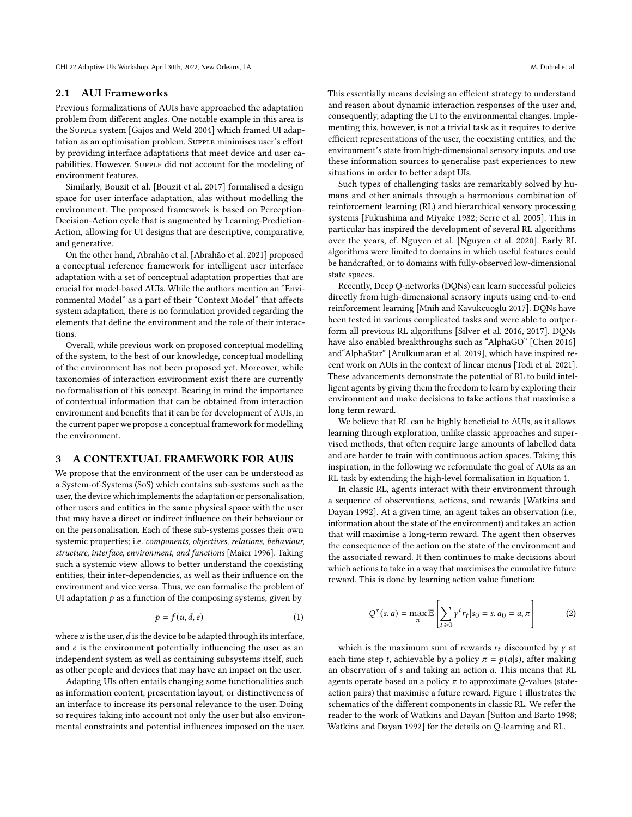CHI 22 Adaptive UIs Workshop, April 30th, 2022, New Orleans, LA Metal Metal Metal Metal Metal Metal Metal Metal Metal Metal Metal Metal Metal Metal Metal Metal Metal Metal Metal Metal Metal Metal Metal Metal Metal Metal Me

#### 2.1 AUI Frameworks

Previous formalizations of AUIs have approached the adaptation problem from different angles. One notable example in this area is the Supple system [\[Gajos and Weld 2004\]](#page-4-11) which framed UI adaptation as an optimisation problem. Supple minimises user's effort by providing interface adaptations that meet device and user capabilities. However, SUPPLE did not account for the modeling of environment features.

Similarly, Bouzit et al. [\[Bouzit et al.](#page-4-12) [2017\]](#page-4-12) formalised a design space for user interface adaptation, alas without modelling the environment. The proposed framework is based on Perception-Decision-Action cycle that is augmented by Learning-Prediction-Action, allowing for UI designs that are descriptive, comparative, and generative.

On the other hand, Abrahão et al. [\[Abrahão et al.](#page-4-13) [2021\]](#page-4-13) proposed a conceptual reference framework for intelligent user interface adaptation with a set of conceptual adaptation properties that are crucial for model-based AUIs. While the authors mention an "Environmental Model" as a part of their "Context Model" that affects system adaptation, there is no formulation provided regarding the elements that define the environment and the role of their interactions.

Overall, while previous work on proposed conceptual modelling of the system, to the best of our knowledge, conceptual modelling of the environment has not been proposed yet. Moreover, while taxonomies of interaction environment exist there are currently no formalisation of this concept. Bearing in mind the importance of contextual information that can be obtained from interaction environment and benefits that it can be for development of AUIs, in the current paper we propose a conceptual framework for modelling the environment.

## <span id="page-1-0"></span>3 A CONTEXTUAL FRAMEWORK FOR AUIS

We propose that the environment of the user can be understood as a System-of-Systems (SoS) which contains sub-systems such as the user, the device which implements the adaptation or personalisation, other users and entities in the same physical space with the user that may have a direct or indirect influence on their behaviour or on the personalisation. Each of these sub-systems posses their own systemic properties; i.e. components, objectives, relations, behaviour, structure, interface, environment, and functions [\[Maier 1996\]](#page-4-2). Taking such a systemic view allows to better understand the coexisting entities, their inter-dependencies, as well as their influence on the environment and vice versa. Thus, we can formalise the problem of UI adaptation  $p$  as a function of the composing systems, given by

<span id="page-1-1"></span>
$$
p = f(u, d, e) \tag{1}
$$

where  $u$  is the user,  $d$  is the device to be adapted through its interface, and  $e$  is the environment potentially influencing the user as an independent system as well as containing subsystems itself, such as other people and devices that may have an impact on the user.

Adapting UIs often entails changing some functionalities such as information content, presentation layout, or distinctiveness of an interface to increase its personal relevance to the user. Doing so requires taking into account not only the user but also environmental constraints and potential influences imposed on the user. This essentially means devising an efficient strategy to understand and reason about dynamic interaction responses of the user and, consequently, adapting the UI to the environmental changes. Implementing this, however, is not a trivial task as it requires to derive efficient representations of the user, the coexisting entities, and the environment's state from high-dimensional sensory inputs, and use these information sources to generalise past experiences to new situations in order to better adapt UIs.

Such types of challenging tasks are remarkably solved by humans and other animals through a harmonious combination of reinforcement learning (RL) and hierarchical sensory processing systems [\[Fukushima and Miyake 1982;](#page-4-14) [Serre et al.](#page-4-15) [2005\]](#page-4-15). This in particular has inspired the development of several RL algorithms over the years, cf. Nguyen et al. [\[Nguyen et al.](#page-4-16) [2020\]](#page-4-16). Early RL algorithms were limited to domains in which useful features could be handcrafted, or to domains with fully-observed low-dimensional state spaces.

Recently, Deep Q-networks (DQNs) can learn successful policies directly from high-dimensional sensory inputs using end-to-end reinforcement learning [\[Mnih and Kavukcuoglu 2017\]](#page-4-17). DQNs have been tested in various complicated tasks and were able to outperform all previous RL algorithms [\[Silver et al.](#page-4-18) [2016,](#page-4-18) [2017\]](#page-4-19). DQNs have also enabled breakthroughs such as "AlphaGO" [\[Chen 2016\]](#page-4-20) and"AlphaStar" [\[Arulkumaran et al.](#page-4-21) [2019\]](#page-4-21), which have inspired recent work on AUIs in the context of linear menus [\[Todi et al.](#page-4-22) [2021\]](#page-4-22). These advancements demonstrate the potential of RL to build intelligent agents by giving them the freedom to learn by exploring their environment and make decisions to take actions that maximise a long term reward.

We believe that RL can be highly beneficial to AUIs, as it allows learning through exploration, unlike classic approaches and supervised methods, that often require large amounts of labelled data and are harder to train with continuous action spaces. Taking this inspiration, in the following we reformulate the goal of AUIs as an RL task by extending the high-level formalisation in [Equation 1.](#page-1-1)

In classic RL, agents interact with their environment through a sequence of observations, actions, and rewards [\[Watkins and](#page-4-4) [Dayan 1992\]](#page-4-4). At a given time, an agent takes an observation (i.e., information about the state of the environment) and takes an action that will maximise a long-term reward. The agent then observes the consequence of the action on the state of the environment and the associated reward. It then continues to make decisions about which actions to take in a way that maximises the cumulative future reward. This is done by learning action value function:

$$
Q^*(s, a) = \max_{\pi} \mathbb{E}\left[\sum_{t \ge 0} \gamma^t r_t | s_0 = s, a_0 = a, \pi\right]
$$
 (2)

which is the maximum sum of rewards  $r_t$  discounted by  $\gamma$  at each time step t, achievable by a policy  $\pi = p(a|s)$ , after making an observation of  $s$  and taking an action  $a$ . This means that RL agents operate based on a policy  $\pi$  to approximate Q-values (stateaction pairs) that maximise a future reward. [Figure 1](#page-2-1) illustrates the schematics of the different components in classic RL. We refer the reader to the work of Watkins and Dayan [\[Sutton and Barto 1998;](#page-4-3) [Watkins and Dayan 1992\]](#page-4-4) for the details on Q-learning and RL.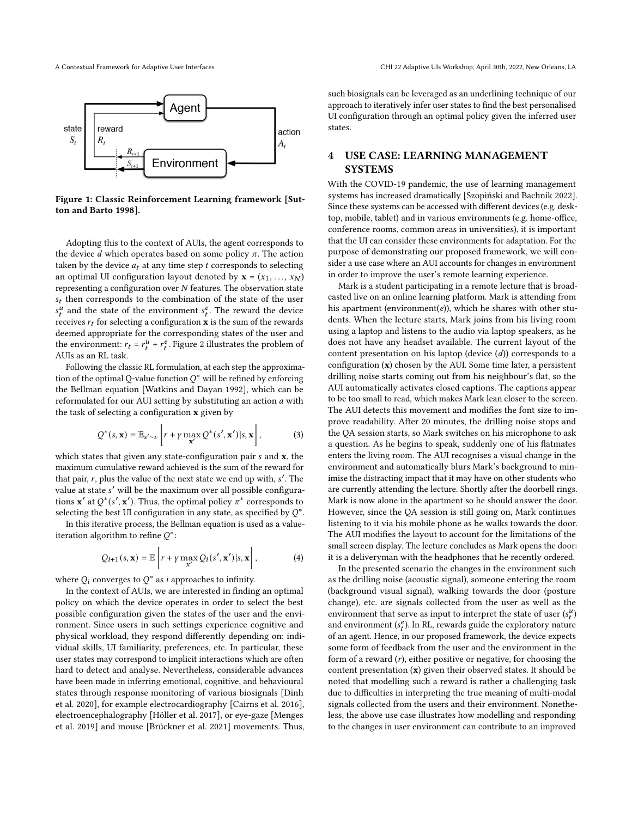<span id="page-2-1"></span>

Figure 1: Classic Reinforcement Learning framework [\[Sut](#page-4-3)[ton and Barto 1998\]](#page-4-3).

Adopting this to the context of AUIs, the agent corresponds to the device  $d$  which operates based on some policy  $\pi$ . The action taken by the device  $a_t$  at any time step  $t$  corresponds to selecting an optimal UI configuration layout denoted by  $\mathbf{x} = (x_1, \ldots, x_N)$ representing a configuration over  $N$  features. The observation state  $s_t$  then corresponds to the combination of the state of the user  $s_t^u$  and the state of the environment  $s_t^e$ . The reward the device receives  $r_t$  for selecting a configuration  $\bf{x}$  is the sum of the rewards deemed appropriate for the corresponding states of the user and the environment:  $r_t = r_t^u + r_t^e$ . [Figure 2](#page-3-1) illustrates the problem of AUIs as an RL task.

Following the classic RL formulation, at each step the approximation of the optimal O-value function  $O^*$  will be refined by enforcing the Bellman equation [\[Watkins and Dayan 1992\]](#page-4-4), which can be reformulated for our AUI setting by substituting an action  $a$  with the task of selecting a configuration x given by

$$
Q^*(s, \mathbf{x}) = \mathbb{E}_{s' \sim \varepsilon} \left[ r + \gamma \max_{\mathbf{x}'} Q^*(s', \mathbf{x'}) | s, \mathbf{x} \right],
$$
 (3)

which states that given any state-configuration pair  $s$  and  $x$ , the maximum cumulative reward achieved is the sum of the reward for that pair, r, plus the value of the next state we end up with,  $s'$ . The value at state ′ will be the maximum over all possible configurations  $\mathbf{x}'$  at  $Q^*(s', \mathbf{x}')$ . Thus, the optimal policy  $\pi^*$  corresponds to selecting the best UI configuration in any state, as specified by  $O^*$ .

In this iterative process, the Bellman equation is used as a valueiteration algorithm to refine  $O^*$ :

$$
Q_{i+1}(s, \mathbf{x}) = \mathbb{E}\left[r + \gamma \max_{\mathbf{x}'} Q_i(s', \mathbf{x}') | s, \mathbf{x}\right],\tag{4}
$$

where  $Q_i$  converges to  $Q^*$  as *i* approaches to infinity.

In the context of AUIs, we are interested in finding an optimal policy on which the device operates in order to select the best possible configuration given the states of the user and the environment. Since users in such settings experience cognitive and physical workload, they respond differently depending on: individual skills, UI familiarity, preferences, etc. In particular, these user states may correspond to implicit interactions which are often hard to detect and analyse. Nevertheless, considerable advances have been made in inferring emotional, cognitive, and behavioural states through response monitoring of various biosignals [\[Dinh](#page-4-23) [et al.](#page-4-23) [2020\]](#page-4-23), for example electrocardiography [\[Cairns et al.](#page-4-24) [2016\]](#page-4-24), electroencephalography [\[Höller et al.](#page-4-25) [2017\]](#page-4-25), or eye-gaze [\[Menges](#page-4-26) [et al.](#page-4-26) [2019\]](#page-4-26) and mouse [\[Brückner et al.](#page-4-27) [2021\]](#page-4-27) movements. Thus,

such biosignals can be leveraged as an underlining technique of our approach to iteratively infer user states to find the best personalised UI configuration through an optimal policy given the inferred user states.

## <span id="page-2-0"></span>4 USE CASE: LEARNING MANAGEMENT **SYSTEMS**

With the COVID-19 pandemic, the use of learning management systems has increased dramatically [\[Szopiński and Bachnik 2022\]](#page-4-28). Since these systems can be accessed with different devices (e.g. desktop, mobile, tablet) and in various environments (e.g. home-office, conference rooms, common areas in universities), it is important that the UI can consider these environments for adaptation. For the purpose of demonstrating our proposed framework, we will consider a use case where an AUI accounts for changes in environment in order to improve the user's remote learning experience.

Mark is a student participating in a remote lecture that is broadcasted live on an online learning platform. Mark is attending from his apartment (environment( $e$ )), which he shares with other students. When the lecture starts, Mark joins from his living room using a laptop and listens to the audio via laptop speakers, as he does not have any headset available. The current layout of the content presentation on his laptop (device  $(d)$ ) corresponds to a configuration (x) chosen by the AUI. Some time later, a persistent drilling noise starts coming out from his neighbour's flat, so the AUI automatically activates closed captions. The captions appear to be too small to read, which makes Mark lean closer to the screen. The AUI detects this movement and modifies the font size to improve readability. After 20 minutes, the drilling noise stops and the QA session starts, so Mark switches on his microphone to ask a question. As he begins to speak, suddenly one of his flatmates enters the living room. The AUI recognises a visual change in the environment and automatically blurs Mark's background to minimise the distracting impact that it may have on other students who are currently attending the lecture. Shortly after the doorbell rings. Mark is now alone in the apartment so he should answer the door. However, since the QA session is still going on, Mark continues listening to it via his mobile phone as he walks towards the door. The AUI modifies the layout to account for the limitations of the small screen display. The lecture concludes as Mark opens the door: it is a deliveryman with the headphones that he recently ordered.

In the presented scenario the changes in the environment such as the drilling noise (acoustic signal), someone entering the room (background visual signal), walking towards the door (posture change), etc. are signals collected from the user as well as the environment that serve as input to interpret the state of user  $(s_t^u)$ and environment (s<sup>e</sup>). In RL, rewards guide the exploratory nature of an agent. Hence, in our proposed framework, the device expects some form of feedback from the user and the environment in the form of a reward  $(r)$ , either positive or negative, for choosing the content presentation (x) given their observed states. It should be noted that modelling such a reward is rather a challenging task due to difficulties in interpreting the true meaning of multi-modal signals collected from the users and their environment. Nonetheless, the above use case illustrates how modelling and responding to the changes in user environment can contribute to an improved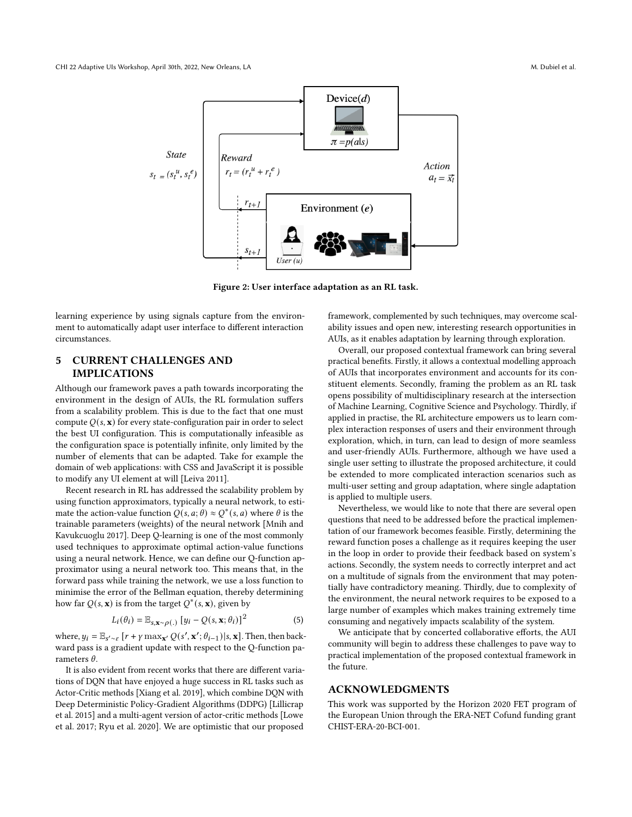<span id="page-3-1"></span>

Figure 2: User interface adaptation as an RL task.

learning experience by using signals capture from the environment to automatically adapt user interface to different interaction circumstances.

## <span id="page-3-0"></span>5 CURRENT CHALLENGES AND IMPLICATIONS

Although our framework paves a path towards incorporating the environment in the design of AUIs, the RL formulation suffers from a scalability problem. This is due to the fact that one must compute  $Q(s, x)$  for every state-configuration pair in order to select the best UI configuration. This is computationally infeasible as the configuration space is potentially infinite, only limited by the number of elements that can be adapted. Take for example the domain of web applications: with CSS and JavaScript it is possible to modify any UI element at will [\[Leiva 2011\]](#page-4-29).

Recent research in RL has addressed the scalability problem by using function approximators, typically a neural network, to estimate the action-value function  $Q(s, a; \theta) \approx Q^*(s, a)$  where  $\theta$  is the trainable parameters (weights) of the neural network [\[Mnih and](#page-4-17) [Kavukcuoglu 2017\]](#page-4-17). Deep Q-learning is one of the most commonly used techniques to approximate optimal action-value functions using a neural network. Hence, we can define our Q-function approximator using a neural network too. This means that, in the forward pass while training the network, we use a loss function to minimise the error of the Bellman equation, thereby determining how far  $Q(s, \mathbf{x})$  is from the target  $Q^*(s, \mathbf{x})$ , given by

$$
L_i(\theta_i) = \mathbb{E}_{s, \mathbf{x} \sim \rho(.)} [y_i - Q(s, \mathbf{x}; \theta_i)]^2
$$
 (5)

where,  $y_i = \mathbb{E}_{s' \sim \varepsilon} [r + \gamma \max_{\mathbf{x}'} Q(s', \mathbf{x}'; \theta_{i-1}) | s, \mathbf{x}]$ . Then, then backward pass is a gradient update with respect to the Q-function parameters  $\theta$ .

It is also evident from recent works that there are different variations of DQN that have enjoyed a huge success in RL tasks such as Actor-Critic methods [\[Xiang et al.](#page-4-30) [2019\]](#page-4-30), which combine DQN with Deep Deterministic Policy-Gradient Algorithms (DDPG) [\[Lillicrap](#page-4-31) [et al.](#page-4-31) [2015\]](#page-4-31) and a multi-agent version of actor-critic methods [\[Lowe](#page-4-32) [et al.](#page-4-32) [2017;](#page-4-32) [Ryu et al.](#page-4-33) [2020\]](#page-4-33). We are optimistic that our proposed

framework, complemented by such techniques, may overcome scalability issues and open new, interesting research opportunities in AUIs, as it enables adaptation by learning through exploration.

Overall, our proposed contextual framework can bring several practical benefits. Firstly, it allows a contextual modelling approach of AUIs that incorporates environment and accounts for its constituent elements. Secondly, framing the problem as an RL task opens possibility of multidisciplinary research at the intersection of Machine Learning, Cognitive Science and Psychology. Thirdly, if applied in practise, the RL architecture empowers us to learn complex interaction responses of users and their environment through exploration, which, in turn, can lead to design of more seamless and user-friendly AUIs. Furthermore, although we have used a single user setting to illustrate the proposed architecture, it could be extended to more complicated interaction scenarios such as multi-user setting and group adaptation, where single adaptation is applied to multiple users.

Nevertheless, we would like to note that there are several open questions that need to be addressed before the practical implementation of our framework becomes feasible. Firstly, determining the reward function poses a challenge as it requires keeping the user in the loop in order to provide their feedback based on system's actions. Secondly, the system needs to correctly interpret and act on a multitude of signals from the environment that may potentially have contradictory meaning. Thirdly, due to complexity of the environment, the neural network requires to be exposed to a large number of examples which makes training extremely time consuming and negatively impacts scalability of the system.

We anticipate that by concerted collaborative efforts, the AUI community will begin to address these challenges to pave way to practical implementation of the proposed contextual framework in the future.

#### ACKNOWLEDGMENTS

This work was supported by the Horizon 2020 FET program of the European Union through the ERA-NET Cofund funding grant CHIST-ERA-20-BCI-001.